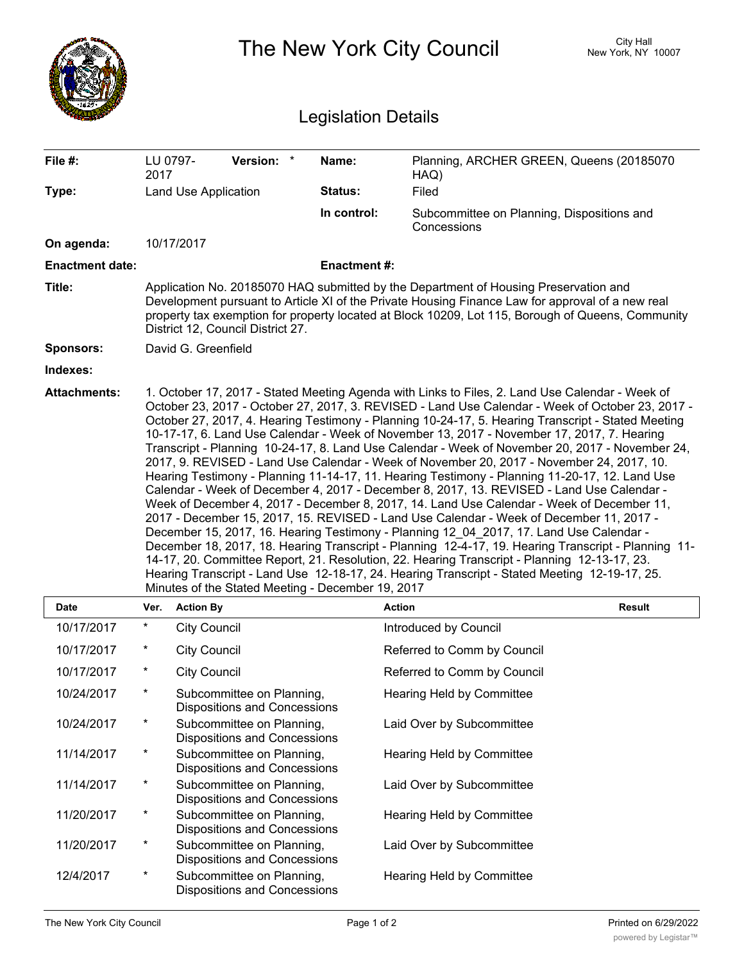|                        |                                                                                                                                                                                                                                                                                                                                                                                                                                                                                                                                                                                                                                                                                                                                                                                                                                                                                                                                                                                                                                                                                                                                                                                                                                                                                                                                                                                                                                                        |                     |                                                                  | <b>Legislation Details</b> | The New York City Council                                 | City Hall<br>New York, NY 10007 |  |  |  |
|------------------------|--------------------------------------------------------------------------------------------------------------------------------------------------------------------------------------------------------------------------------------------------------------------------------------------------------------------------------------------------------------------------------------------------------------------------------------------------------------------------------------------------------------------------------------------------------------------------------------------------------------------------------------------------------------------------------------------------------------------------------------------------------------------------------------------------------------------------------------------------------------------------------------------------------------------------------------------------------------------------------------------------------------------------------------------------------------------------------------------------------------------------------------------------------------------------------------------------------------------------------------------------------------------------------------------------------------------------------------------------------------------------------------------------------------------------------------------------------|---------------------|------------------------------------------------------------------|----------------------------|-----------------------------------------------------------|---------------------------------|--|--|--|
| File #:                | 2017                                                                                                                                                                                                                                                                                                                                                                                                                                                                                                                                                                                                                                                                                                                                                                                                                                                                                                                                                                                                                                                                                                                                                                                                                                                                                                                                                                                                                                                   | LU 0797-            | Version: *                                                       | Name:                      | Planning, ARCHER GREEN, Queens (20185070)<br>HAQ)         |                                 |  |  |  |
| Type:                  | <b>Land Use Application</b>                                                                                                                                                                                                                                                                                                                                                                                                                                                                                                                                                                                                                                                                                                                                                                                                                                                                                                                                                                                                                                                                                                                                                                                                                                                                                                                                                                                                                            |                     |                                                                  | Status:                    | Filed                                                     |                                 |  |  |  |
|                        |                                                                                                                                                                                                                                                                                                                                                                                                                                                                                                                                                                                                                                                                                                                                                                                                                                                                                                                                                                                                                                                                                                                                                                                                                                                                                                                                                                                                                                                        |                     |                                                                  | In control:                | Subcommittee on Planning, Dispositions and<br>Concessions |                                 |  |  |  |
| On agenda:             |                                                                                                                                                                                                                                                                                                                                                                                                                                                                                                                                                                                                                                                                                                                                                                                                                                                                                                                                                                                                                                                                                                                                                                                                                                                                                                                                                                                                                                                        | 10/17/2017          |                                                                  |                            |                                                           |                                 |  |  |  |
| <b>Enactment date:</b> |                                                                                                                                                                                                                                                                                                                                                                                                                                                                                                                                                                                                                                                                                                                                                                                                                                                                                                                                                                                                                                                                                                                                                                                                                                                                                                                                                                                                                                                        |                     |                                                                  | <b>Enactment#:</b>         |                                                           |                                 |  |  |  |
| Title:                 | Application No. 20185070 HAQ submitted by the Department of Housing Preservation and<br>Development pursuant to Article XI of the Private Housing Finance Law for approval of a new real<br>property tax exemption for property located at Block 10209, Lot 115, Borough of Queens, Community<br>District 12, Council District 27.                                                                                                                                                                                                                                                                                                                                                                                                                                                                                                                                                                                                                                                                                                                                                                                                                                                                                                                                                                                                                                                                                                                     |                     |                                                                  |                            |                                                           |                                 |  |  |  |
| <b>Sponsors:</b>       | David G. Greenfield                                                                                                                                                                                                                                                                                                                                                                                                                                                                                                                                                                                                                                                                                                                                                                                                                                                                                                                                                                                                                                                                                                                                                                                                                                                                                                                                                                                                                                    |                     |                                                                  |                            |                                                           |                                 |  |  |  |
| Indexes:               |                                                                                                                                                                                                                                                                                                                                                                                                                                                                                                                                                                                                                                                                                                                                                                                                                                                                                                                                                                                                                                                                                                                                                                                                                                                                                                                                                                                                                                                        |                     |                                                                  |                            |                                                           |                                 |  |  |  |
|                        | 1. October 17, 2017 - Stated Meeting Agenda with Links to Files, 2. Land Use Calendar - Week of<br>October 23, 2017 - October 27, 2017, 3. REVISED - Land Use Calendar - Week of October 23, 2017 -<br>October 27, 2017, 4. Hearing Testimony - Planning 10-24-17, 5. Hearing Transcript - Stated Meeting<br>10-17-17, 6. Land Use Calendar - Week of November 13, 2017 - November 17, 2017, 7. Hearing<br>Transcript - Planning 10-24-17, 8. Land Use Calendar - Week of November 20, 2017 - November 24,<br>2017, 9. REVISED - Land Use Calendar - Week of November 20, 2017 - November 24, 2017, 10.<br>Hearing Testimony - Planning 11-14-17, 11. Hearing Testimony - Planning 11-20-17, 12. Land Use<br>Calendar - Week of December 4, 2017 - December 8, 2017, 13. REVISED - Land Use Calendar -<br>Week of December 4, 2017 - December 8, 2017, 14. Land Use Calendar - Week of December 11,<br>2017 - December 15, 2017, 15. REVISED - Land Use Calendar - Week of December 11, 2017 -<br>December 15, 2017, 16. Hearing Testimony - Planning 12 04 2017, 17. Land Use Calendar -<br>December 18, 2017, 18. Hearing Transcript - Planning 12-4-17, 19. Hearing Transcript - Planning 11-<br>14-17, 20. Committee Report, 21. Resolution, 22. Hearing Transcript - Planning 12-13-17, 23.<br>Hearing Transcript - Land Use 12-18-17, 24. Hearing Transcript - Stated Meeting 12-19-17, 25.<br>Minutes of the Stated Meeting - December 19, 2017 |                     |                                                                  |                            |                                                           |                                 |  |  |  |
| <b>Date</b>            | Ver.                                                                                                                                                                                                                                                                                                                                                                                                                                                                                                                                                                                                                                                                                                                                                                                                                                                                                                                                                                                                                                                                                                                                                                                                                                                                                                                                                                                                                                                   | <b>Action By</b>    |                                                                  |                            | <b>Action</b>                                             | Result                          |  |  |  |
| 10/17/2017             | $\ast$                                                                                                                                                                                                                                                                                                                                                                                                                                                                                                                                                                                                                                                                                                                                                                                                                                                                                                                                                                                                                                                                                                                                                                                                                                                                                                                                                                                                                                                 | <b>City Council</b> |                                                                  |                            | Introduced by Council                                     |                                 |  |  |  |
| 10/17/2017             | $\ast$                                                                                                                                                                                                                                                                                                                                                                                                                                                                                                                                                                                                                                                                                                                                                                                                                                                                                                                                                                                                                                                                                                                                                                                                                                                                                                                                                                                                                                                 | <b>City Council</b> |                                                                  |                            | Referred to Comm by Council                               |                                 |  |  |  |
| 10/17/2017             | $\ast$                                                                                                                                                                                                                                                                                                                                                                                                                                                                                                                                                                                                                                                                                                                                                                                                                                                                                                                                                                                                                                                                                                                                                                                                                                                                                                                                                                                                                                                 | <b>City Council</b> |                                                                  |                            | Referred to Comm by Council                               |                                 |  |  |  |
| 10/24/2017             | $^{\ast}$                                                                                                                                                                                                                                                                                                                                                                                                                                                                                                                                                                                                                                                                                                                                                                                                                                                                                                                                                                                                                                                                                                                                                                                                                                                                                                                                                                                                                                              |                     | Subcommittee on Planning,<br><b>Dispositions and Concessions</b> |                            | Hearing Held by Committee                                 |                                 |  |  |  |
| 10/24/2017             | $\ast$                                                                                                                                                                                                                                                                                                                                                                                                                                                                                                                                                                                                                                                                                                                                                                                                                                                                                                                                                                                                                                                                                                                                                                                                                                                                                                                                                                                                                                                 |                     | Subcommittee on Planning,<br><b>Dispositions and Concessions</b> |                            | Laid Over by Subcommittee                                 |                                 |  |  |  |
| 11/14/2017             | $^{\ast}$                                                                                                                                                                                                                                                                                                                                                                                                                                                                                                                                                                                                                                                                                                                                                                                                                                                                                                                                                                                                                                                                                                                                                                                                                                                                                                                                                                                                                                              |                     | Subcommittee on Planning,<br><b>Dispositions and Concessions</b> |                            | Hearing Held by Committee                                 |                                 |  |  |  |
| 11/14/2017             | $\ast$                                                                                                                                                                                                                                                                                                                                                                                                                                                                                                                                                                                                                                                                                                                                                                                                                                                                                                                                                                                                                                                                                                                                                                                                                                                                                                                                                                                                                                                 |                     | Subcommittee on Planning,<br><b>Dispositions and Concessions</b> |                            | Laid Over by Subcommittee                                 |                                 |  |  |  |
| 11/20/2017             | *                                                                                                                                                                                                                                                                                                                                                                                                                                                                                                                                                                                                                                                                                                                                                                                                                                                                                                                                                                                                                                                                                                                                                                                                                                                                                                                                                                                                                                                      |                     | Subcommittee on Planning,<br><b>Dispositions and Concessions</b> |                            | Hearing Held by Committee                                 |                                 |  |  |  |
| 11/20/2017             | *                                                                                                                                                                                                                                                                                                                                                                                                                                                                                                                                                                                                                                                                                                                                                                                                                                                                                                                                                                                                                                                                                                                                                                                                                                                                                                                                                                                                                                                      |                     | Subcommittee on Planning,<br>Dispositions and Concessions        |                            | Laid Over by Subcommittee                                 |                                 |  |  |  |
| 12/4/2017              | *                                                                                                                                                                                                                                                                                                                                                                                                                                                                                                                                                                                                                                                                                                                                                                                                                                                                                                                                                                                                                                                                                                                                                                                                                                                                                                                                                                                                                                                      |                     | Subcommittee on Planning,<br><b>Dispositions and Concessions</b> |                            | Hearing Held by Committee                                 |                                 |  |  |  |